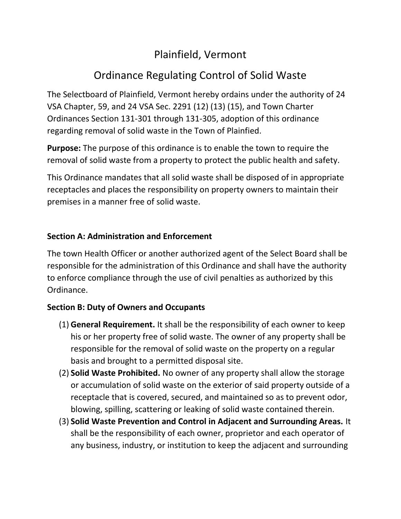## Plainfield, Vermont

# Ordinance Regulating Control of Solid Waste

The Selectboard of Plainfield, Vermont hereby ordains under the authority of 24 VSA Chapter, 59, and 24 VSA Sec. 2291 (12) (13) (15), and Town Charter Ordinances Section 131-301 through 131-305, adoption of this ordinance regarding removal of solid waste in the Town of Plainfied.

**Purpose:** The purpose of this ordinance is to enable the town to require the removal of solid waste from a property to protect the public health and safety.

This Ordinance mandates that all solid waste shall be disposed of in appropriate receptacles and places the responsibility on property owners to maintain their premises in a manner free of solid waste.

## **Section A: Administration and Enforcement**

The town Health Officer or another authorized agent of the Select Board shall be responsible for the administration of this Ordinance and shall have the authority to enforce compliance through the use of civil penalties as authorized by this Ordinance.

## **Section B: Duty of Owners and Occupants**

- (1) **General Requirement.** It shall be the responsibility of each owner to keep his or her property free of solid waste. The owner of any property shall be responsible for the removal of solid waste on the property on a regular basis and brought to a permitted disposal site.
- (2) **Solid Waste Prohibited.** No owner of any property shall allow the storage or accumulation of solid waste on the exterior of said property outside of a receptacle that is covered, secured, and maintained so as to prevent odor, blowing, spilling, scattering or leaking of solid waste contained therein.
- (3) **Solid Waste Prevention and Control in Adjacent and Surrounding Areas.** It shall be the responsibility of each owner, proprietor and each operator of any business, industry, or institution to keep the adjacent and surrounding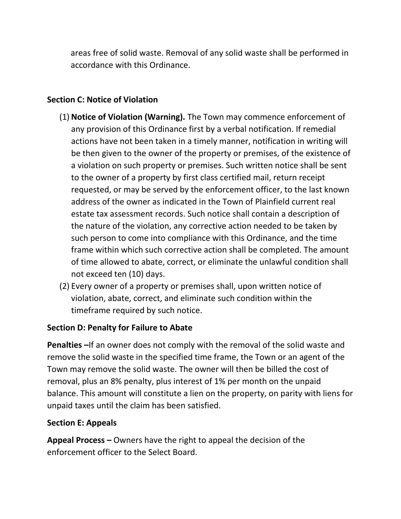areas free of solid waste. Removal of any solid waste shall be performed in accordance with this Ordinance.

## **Section C: Notice of Violation**

- (1) **Notice of Violation (Warning).** The Town may commence enforcement of any provision of this Ordinance first by a verbal notification. If remedial actions have not been taken in a timely manner, notification in writing will be then given to the owner of the property or premises, of the existence of a violation on such property or premises. Such written notice shall be sent to the owner of a property by first class certified mail, return receipt requested, or may be served by the enforcement officer, to the last known address of the owner as indicated in the Town of Plainfield current real estate tax assessment records. Such notice shall contain a description of the nature of the violation, any corrective action needed to be taken by such person to come into compliance with this Ordinance, and the time frame within which such corrective action shall be completed. The amount of time allowed to abate, correct, or eliminate the unlawful condition shall not exceed ten (10) days.
- (2) Every owner of a property or premises shall, upon written notice of violation, abate, correct, and eliminate such condition within the timeframe required by such notice.

## **Section D: Penalty for Failure to Abate**

**Penalties –**If an owner does not comply with the removal of the solid waste and remove the solid waste in the specified time frame, the Town or an agent of the Town may remove the solid waste. The owner will then be billed the cost of removal, plus an 8% penalty, plus interest of 1% per month on the unpaid balance. This amount will constitute a lien on the property, on parity with liens for unpaid taxes until the claim has been satisfied.

## **Section E: Appeals**

**Appeal Process –** Owners have the right to appeal the decision of the enforcement officer to the Select Board.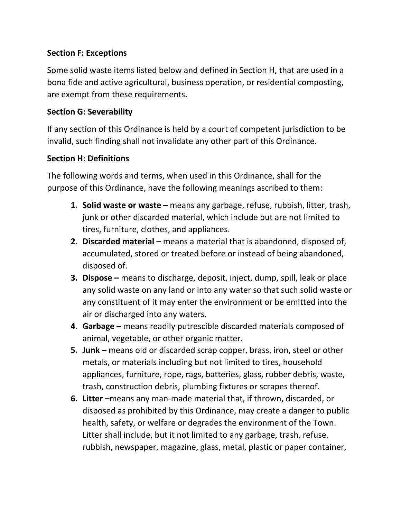## **Section F: Exceptions**

Some solid waste items listed below and defined in Section H, that are used in a bona fide and active agricultural, business operation, or residential composting, are exempt from these requirements.

#### **Section G: Severability**

If any section of this Ordinance is held by a court of competent jurisdiction to be invalid, such finding shall not invalidate any other part of this Ordinance.

#### **Section H: Definitions**

The following words and terms, when used in this Ordinance, shall for the purpose of this Ordinance, have the following meanings ascribed to them:

- **1. Solid waste or waste –** means any garbage, refuse, rubbish, litter, trash, junk or other discarded material, which include but are not limited to tires, furniture, clothes, and appliances.
- **2. Discarded material –** means a material that is abandoned, disposed of, accumulated, stored or treated before or instead of being abandoned, disposed of.
- **3. Dispose –** means to discharge, deposit, inject, dump, spill, leak or place any solid waste on any land or into any water so that such solid waste or any constituent of it may enter the environment or be emitted into the air or discharged into any waters.
- **4. Garbage –** means readily putrescible discarded materials composed of animal, vegetable, or other organic matter.
- **5. Junk –** means old or discarded scrap copper, brass, iron, steel or other metals, or materials including but not limited to tires, household appliances, furniture, rope, rags, batteries, glass, rubber debris, waste, trash, construction debris, plumbing fixtures or scrapes thereof.
- **6. Litter –**means any man-made material that, if thrown, discarded, or disposed as prohibited by this Ordinance, may create a danger to public health, safety, or welfare or degrades the environment of the Town. Litter shall include, but it not limited to any garbage, trash, refuse, rubbish, newspaper, magazine, glass, metal, plastic or paper container,